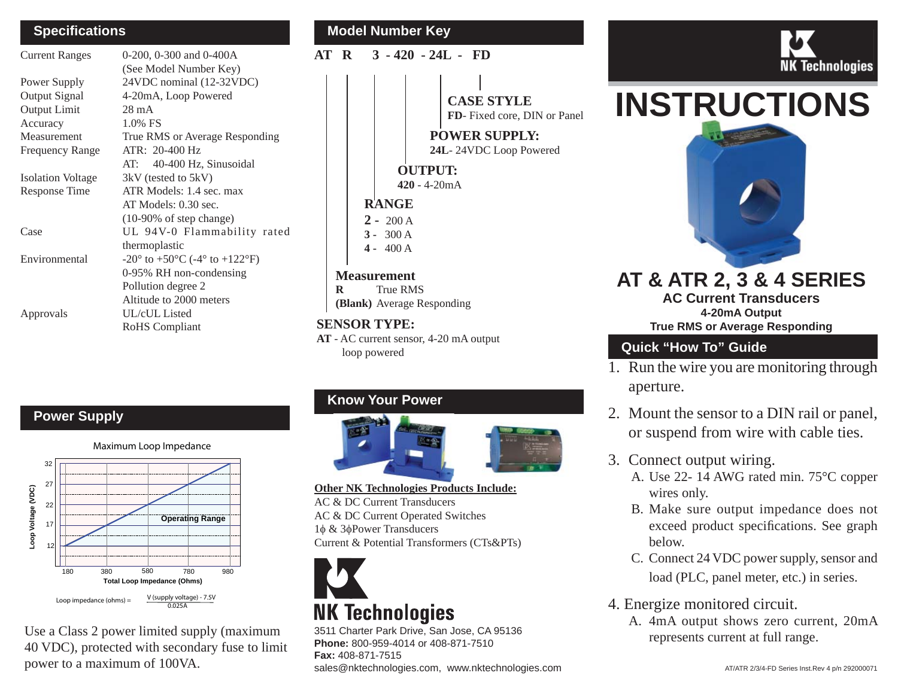#### **Speci fi cations**

| <b>Current Ranges</b>    | 0-200, 0-300 and 0-400A                                              |
|--------------------------|----------------------------------------------------------------------|
|                          | (See Model Number Key)                                               |
| Power Supply             | 24VDC nominal (12-32VDC)                                             |
| <b>Output Signal</b>     | 4-20mA, Loop Powered                                                 |
| <b>Output Limit</b>      | $28 \text{ mA}$                                                      |
| Accuracy                 | 1.0% FS                                                              |
| Measurement              | True RMS or Average Responding                                       |
| <b>Frequency Range</b>   | ATR: 20-400 Hz                                                       |
|                          | AT: 40-400 Hz, Sinusoidal                                            |
| <b>Isolation Voltage</b> | 3kV (tested to 5kV)                                                  |
| Response Time            | ATR Models: 1.4 sec. max                                             |
|                          | AT Models: 0.30 sec.                                                 |
|                          | $(10-90\% \text{ of step change})$                                   |
| Case                     | UL 94V-0 Flammability rated                                          |
|                          | thermoplastic                                                        |
| Environmental            | $-20^{\circ}$ to $+50^{\circ}$ C ( $-4^{\circ}$ to $+122^{\circ}$ F) |
|                          | 0-95% RH non-condensing                                              |
|                          | Pollution degree 2                                                   |
|                          | Altitude to 2000 meters                                              |
| Approvals                | UL/cUL Listed                                                        |
|                          | RoHS Compliant                                                       |

# **Model Number Key**

**AT R 3 - 420 - 24L - FD**

**CASE STYLE**

**FD**- Fixed core, DIN or Panel

**POWER SUPPLY:24L**- 24VDC Loop Powered

**OUTPUT:**

**420** - 4-20mA

**RANGE**

 $2 - 200 A$ 

**3 -** 300 A

**4 -** 400 A

#### **Measurement**

**R** True RMS**(Blank)** Average Responding

#### **SENSOR TYPE:**

**AT** - AC current sensor, 4-20 mA output loop powered

# **Power Supply**

Maximum Loop Impedance



Use a Class 2 power limited supply (maximum 40 VDC), protected with secondary fuse to limit power to a maximum of 100VA.

# **Know Your Power**



**Other NK Technologies Products Include:** AC & DC Current TransducersAC & DC Current Operated Switches

1φ & 3 φPower Transducers Current & Potential Transformers (CTs&PTs) <sup>12</sup>



# **NK Technologies**

3511 Charter Park Drive, San Jose, CA 95136 **Phone:** 800-959-4014 or 408-871-7510 **Fax:** 408-871-7515sales@nktechnologies.com, www.nktechnologies.com AT/ATR 2/3/4-FD Series Inst.Rev 4 p/n 292000071



# **INSTRUCTIONS**



### **AT & ATR 2, 3 & 4 SERIES AC Current Transducers4-20mA Output**

**True RMS or Average Responding**

# **Quick "How To" Guide**

- 1. Run the wire you are monitoring through aperture.
- 2. Mount the sensor to a DIN rail or panel, or suspend from wire with cable ties.
- 3. Connect output wiring.
	- A. Use 22- 14 AWG rated min. 75°C copper wires only.
	- B. Make sure output impedance does not exceed product specifications. See graph below.
	- C. Connect 24 VDC power supply, sensor and load (PLC, panel meter, etc.) in series.
- 4. Energize monitored circuit.
	- A. 4mA output shows zero current, 20mA represents current at full range.